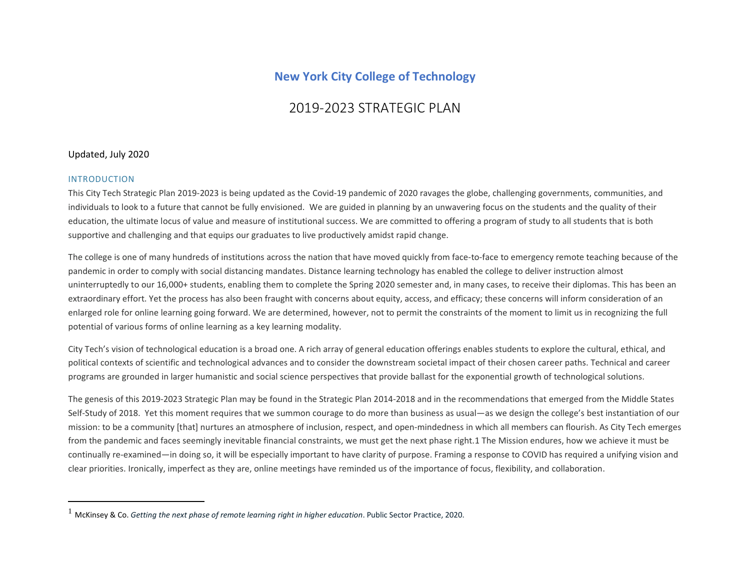## **New York City College of Technology**

# 2019-2023 STRATEGIC PLAN

#### Updated, July 2020

#### INTRODUCTION

This City Tech Strategic Plan 2019-2023 is being updated as the Covid-19 pandemic of 2020 ravages the globe, challenging governments, communities, and individuals to look to a future that cannot be fully envisioned. We are guided in planning by an unwavering focus on the students and the quality of their education, the ultimate locus of value and measure of institutional success. We are committed to offering a program of study to all students that is both supportive and challenging and that equips our graduates to live productively amidst rapid change.

The college is one of many hundreds of institutions across the nation that have moved quickly from face-to-face to emergency remote teaching because of the pandemic in order to comply with social distancing mandates. Distance learning technology has enabled the college to deliver instruction almost uninterruptedly to our 16,000+ students, enabling them to complete the Spring 2020 semester and, in many cases, to receive their diplomas. This has been an extraordinary effort. Yet the process has also been fraught with concerns about equity, access, and efficacy; these concerns will inform consideration of an enlarged role for online learning going forward. We are determined, however, not to permit the constraints of the moment to limit us in recognizing the full potential of various forms of online learning as a key learning modality.

City Tech's vision of technological education is a broad one. A rich array of general education offerings enables students to explore the cultural, ethical, and political contexts of scientific and technological advances and to consider the downstream societal impact of their chosen career paths. Technical and career programs are grounded in larger humanistic and social science perspectives that provide ballast for the exponential growth of technological solutions.

The genesis of this 2019-2023 Strategic Plan may be found in the Strategic Plan 2014-2018 and in the recommendations that emerged from the Middle States Self-Study of 2018. Yet this moment requires that we summon courage to do more than business as usual—as we design the college's best instantiation of our mission: to be a community [that] nurtures an atmosphere of inclusion, respect, and open-mindedness in which all members can flourish. As City Tech emerges from the pandemic and faces seemingly inevitable financial constraints, we must get the next phase right.1 The Mission endures, how we achieve it must be continually re-examined—in doing so, it will be especially important to have clarity of purpose. Framing a response to COVID has required a unifying vision and clear priorities. Ironically, imperfect as they are, online meetings have reminded us of the importance of focus, flexibility, and collaboration.

<sup>1</sup> McKinsey & Co. *Getting the next phase of remote learning right in higher education*. Public Sector Practice, 2020.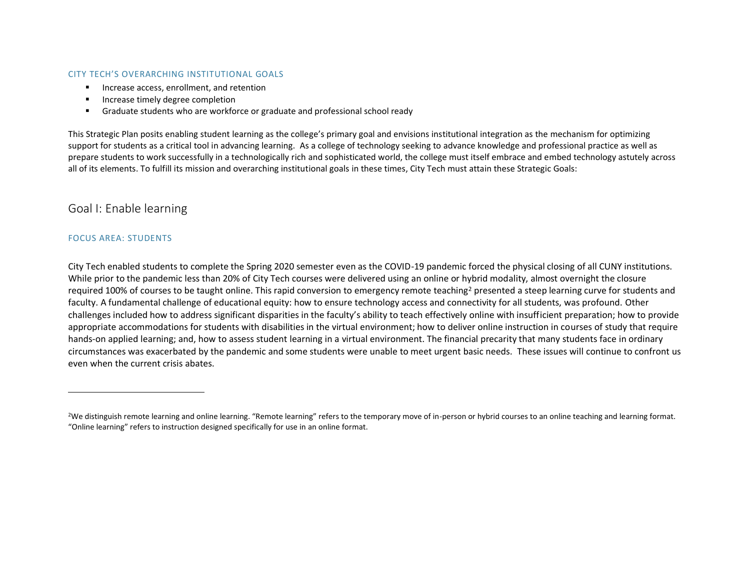#### CITY TECH'S OVERARCHING INSTITUTIONAL GOALS

- Increase access, enrollment, and retention
- Increase timely degree completion
- Graduate students who are workforce or graduate and professional school ready

This Strategic Plan posits enabling student learning as the college's primary goal and envisions institutional integration as the mechanism for optimizing support for students as a critical tool in advancing learning. As a college of technology seeking to advance knowledge and professional practice as well as prepare students to work successfully in a technologically rich and sophisticated world, the college must itself embrace and embed technology astutely across all of its elements. To fulfill its mission and overarching institutional goals in these times, City Tech must attain these Strategic Goals:

### Goal I: Enable learning

#### FOCUS AREA: STUDENTS

City Tech enabled students to complete the Spring 2020 semester even as the COVID-19 pandemic forced the physical closing of all CUNY institutions. While prior to the pandemic less than 20% of City Tech courses were delivered using an online or hybrid modality, almost overnight the closure required 100% of courses to be taught online. This rapid conversion to emergency remote teaching<sup>2</sup> presented a steep learning curve for students and faculty. A fundamental challenge of educational equity: how to ensure technology access and connectivity for all students, was profound. Other challenges included how to address significant disparities in the faculty's ability to teach effectively online with insufficient preparation; how to provide appropriate accommodations for students with disabilities in the virtual environment; how to deliver online instruction in courses of study that require hands-on applied learning; and, how to assess student learning in a virtual environment. The financial precarity that many students face in ordinary circumstances was exacerbated by the pandemic and some students were unable to meet urgent basic needs. These issues will continue to confront us even when the current crisis abates.

<sup>&</sup>lt;sup>2</sup>We distinguish remote learning and online learning. "Remote learning" refers to the temporary move of in-person or hybrid courses to an online teaching and learning format. "Online learning" refers to instruction designed specifically for use in an online format.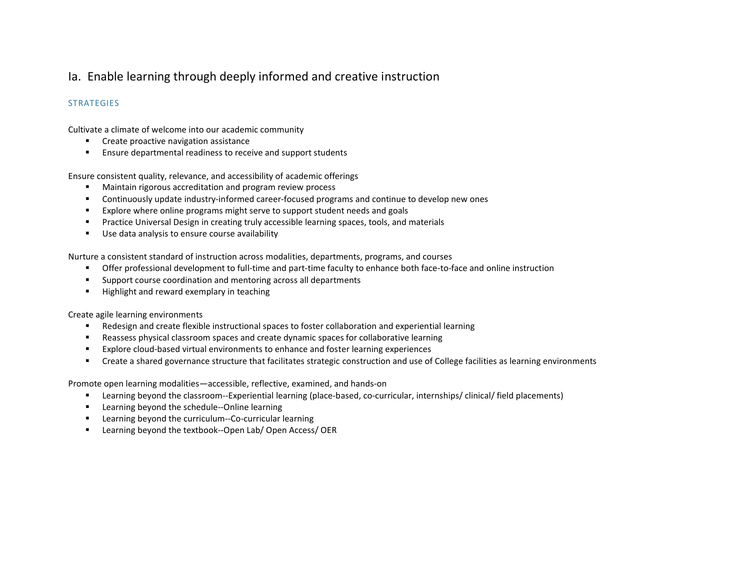## Ia. Enable learning through deeply informed and creative instruction

#### **STRATEGIES**

Cultivate a climate of welcome into our academic community

- Create proactive navigation assistance
- Ensure departmental readiness to receive and support students

Ensure consistent quality, relevance, and accessibility of academic offerings

- Maintain rigorous accreditation and program review process
- Continuously update industry-informed career-focused programs and continue to develop new ones
- Explore where online programs might serve to support student needs and goals
- **•** Practice Universal Design in creating truly accessible learning spaces, tools, and materials
- Use data analysis to ensure course availability

Nurture a consistent standard of instruction across modalities, departments, programs, and courses

- **•** Offer professional development to full-time and part-time faculty to enhance both face-to-face and online instruction
- Support course coordination and mentoring across all departments
- Highlight and reward exemplary in teaching

Create agile learning environments

- Redesign and create flexible instructional spaces to foster collaboration and experiential learning
- Reassess physical classroom spaces and create dynamic spaces for collaborative learning
- Explore cloud-based virtual environments to enhance and foster learning experiences
- Create a shared governance structure that facilitates strategic construction and use of College facilities as learning environments

Promote open learning modalities—accessible, reflective, examined, and hands-on

- Learning beyond the classroom--Experiential learning (place-based, co-curricular, internships/ clinical/ field placements)
- Learning beyond the schedule--Online learning
- Learning beyond the curriculum--Co-curricular learning
- Learning beyond the textbook--Open Lab/ Open Access/ OER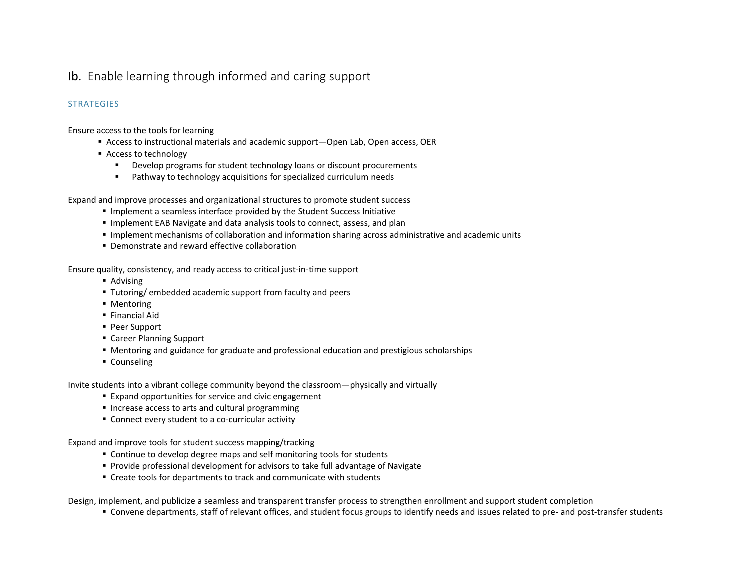## Ib. Enable learning through informed and caring support

### **STRATEGIES**

Ensure access to the tools for learning

- Access to instructional materials and academic support—Open Lab, Open access, OER
- Access to technology
	- Develop programs for student technology loans or discount procurements
	- Pathway to technology acquisitions for specialized curriculum needs

Expand and improve processes and organizational structures to promote student success

- Implement a seamless interface provided by the Student Success Initiative
- **.** Implement EAB Navigate and data analysis tools to connect, assess, and plan
- **.** Implement mechanisms of collaboration and information sharing across administrative and academic units
- Demonstrate and reward effective collaboration

Ensure quality, consistency, and ready access to critical just-in-time support

- Advising
- Tutoring/ embedded academic support from faculty and peers
- Mentoring
- Financial Aid
- Peer Support
- Career Planning Support
- Mentoring and guidance for graduate and professional education and prestigious scholarships
- Counseling

Invite students into a vibrant college community beyond the classroom—physically and virtually

- Expand opportunities for service and civic engagement
- Increase access to arts and cultural programming
- Connect every student to a co-curricular activity

Expand and improve tools for student success mapping/tracking

- Continue to develop degree maps and self monitoring tools for students
- Provide professional development for advisors to take full advantage of Navigate
- Create tools for departments to track and communicate with students

Design, implement, and publicize a seamless and transparent transfer process to strengthen enrollment and support student completion

▪ Convene departments, staff of relevant offices, and student focus groups to identify needs and issues related to pre- and post-transfer students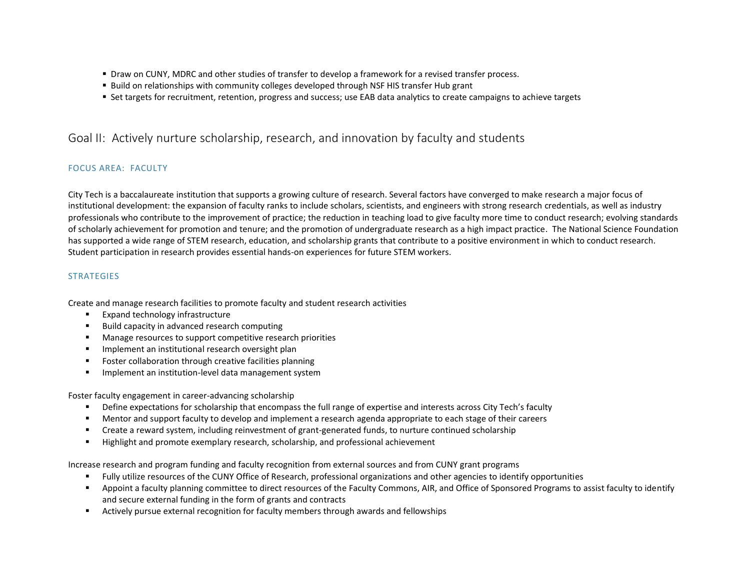- **Draw on CUNY, MDRC and other studies of transfer to develop a framework for a revised transfer process.**
- **E** Build on relationships with community colleges developed through NSF HIS transfer Hub grant
- Set targets for recruitment, retention, progress and success; use EAB data analytics to create campaigns to achieve targets

### Goal II: Actively nurture scholarship, research, and innovation by faculty and students

### FOCUS AREA: FACULTY

City Tech is a baccalaureate institution that supports a growing culture of research. Several factors have converged to make research a major focus of institutional development: the expansion of faculty ranks to include scholars, scientists, and engineers with strong research credentials, as well as industry professionals who contribute to the improvement of practice; the reduction in teaching load to give faculty more time to conduct research; evolving standards of scholarly achievement for promotion and tenure; and the promotion of undergraduate research as a high impact practice. The National Science Foundation has supported a wide range of STEM research, education, and scholarship grants that contribute to a positive environment in which to conduct research. Student participation in research provides essential hands-on experiences for future STEM workers.

#### **STRATEGIES**

Create and manage research facilities to promote faculty and student research activities

- Expand technology infrastructure
- Build capacity in advanced research computing
- Manage resources to support competitive research priorities
- **■** Implement an institutional research oversight plan
- Foster collaboration through creative facilities planning
- **■** Implement an institution-level data management system

Foster faculty engagement in career-advancing scholarship

- **•** Define expectations for scholarship that encompass the full range of expertise and interests across City Tech's faculty
- Mentor and support faculty to develop and implement a research agenda appropriate to each stage of their careers
- Create a reward system, including reinvestment of grant-generated funds, to nurture continued scholarship
- Highlight and promote exemplary research, scholarship, and professional achievement

Increase research and program funding and faculty recognition from external sources and from CUNY grant programs

- Fully utilize resources of the CUNY Office of Research, professional organizations and other agencies to identify opportunities
- Appoint a faculty planning committee to direct resources of the Faculty Commons, AIR, and Office of Sponsored Programs to assist faculty to identify and secure external funding in the form of grants and contracts
- Actively pursue external recognition for faculty members through awards and fellowships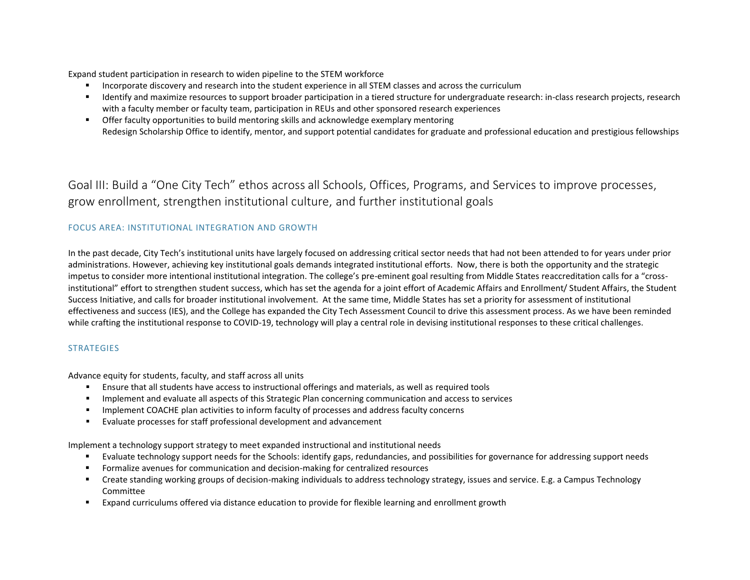Expand student participation in research to widen pipeline to the STEM workforce

- Incorporate discovery and research into the student experience in all STEM classes and across the curriculum
- Identify and maximize resources to support broader participation in a tiered structure for undergraduate research: in-class research projects, research with a faculty member or faculty team, participation in REUs and other sponsored research experiences
- **■** Offer faculty opportunities to build mentoring skills and acknowledge exemplary mentoring Redesign Scholarship Office to identify, mentor, and support potential candidates for graduate and professional education and prestigious fellowships

Goal III: Build a "One City Tech" ethos across all Schools, Offices, Programs, and Services to improve processes, grow enrollment, strengthen institutional culture, and further institutional goals

### FOCUS AREA: INSTITUTIONAL INTEGRATION AND GROWTH

In the past decade, City Tech's institutional units have largely focused on addressing critical sector needs that had not been attended to for years under prior administrations. However, achieving key institutional goals demands integrated institutional efforts. Now, there is both the opportunity and the strategic impetus to consider more intentional institutional integration. The college's pre-eminent goal resulting from Middle States reaccreditation calls for a "crossinstitutional" effort to strengthen student success, which has set the agenda for a joint effort of Academic Affairs and Enrollment/ Student Affairs, the Student Success Initiative, and calls for broader institutional involvement. At the same time, Middle States has set a priority for assessment of institutional effectiveness and success (IES), and the College has expanded the City Tech Assessment Council to drive this assessment process. As we have been reminded while crafting the institutional response to COVID-19, technology will play a central role in devising institutional responses to these critical challenges.

#### **STRATEGIES**

Advance equity for students, faculty, and staff across all units

- **Ensure that all students have access to instructional offerings and materials, as well as required tools**
- Implement and evaluate all aspects of this Strategic Plan concerning communication and access to services
- **•** Implement COACHE plan activities to inform faculty of processes and address faculty concerns
- Evaluate processes for staff professional development and advancement

Implement a technology support strategy to meet expanded instructional and institutional needs

- Evaluate technology support needs for the Schools: identify gaps, redundancies, and possibilities for governance for addressing support needs
- Formalize avenues for communication and decision-making for centralized resources
- Create standing working groups of decision-making individuals to address technology strategy, issues and service. E.g. a Campus Technology Committee
- Expand curriculums offered via distance education to provide for flexible learning and enrollment growth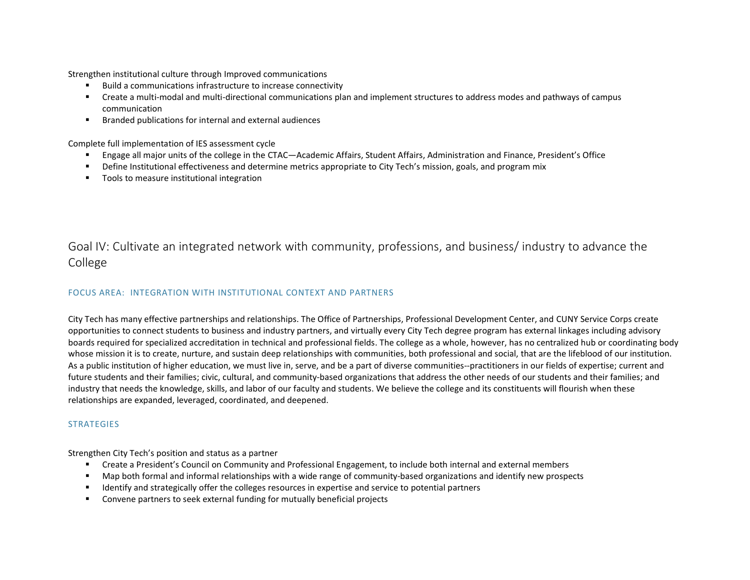Strengthen institutional culture through Improved communications

- Build a communications infrastructure to increase connectivity
- Create a multi-modal and multi-directional communications plan and implement structures to address modes and pathways of campus communication
- Branded publications for internal and external audiences

Complete full implementation of IES assessment cycle

- Engage all major units of the college in the CTAC—Academic Affairs, Student Affairs, Administration and Finance, President's Office
- **•** Define Institutional effectiveness and determine metrics appropriate to City Tech's mission, goals, and program mix
- Tools to measure institutional integration

Goal IV: Cultivate an integrated network with community, professions, and business/ industry to advance the College

#### FOCUS AREA: INTEGRATION WITH INSTITUTIONAL CONTEXT AND PARTNERS

City Tech has many effective partnerships and relationships. The Office of Partnerships, Professional Development Center, and CUNY Service Corps create opportunities to connect students to business and industry partners, and virtually every City Tech degree program has external linkages including advisory boards required for specialized accreditation in technical and professional fields. The college as a whole, however, has no centralized hub or coordinating body whose mission it is to create, nurture, and sustain deep relationships with communities, both professional and social, that are the lifeblood of our institution. As a public institution of higher education, we must live in, serve, and be a part of diverse communities--practitioners in our fields of expertise; current and future students and their families; civic, cultural, and community-based organizations that address the other needs of our students and their families; and industry that needs the knowledge, skills, and labor of our faculty and students. We believe the college and its constituents will flourish when these relationships are expanded, leveraged, coordinated, and deepened.

#### **STRATEGIES**

Strengthen City Tech's position and status as a partner

- Create a President's Council on Community and Professional Engagement, to include both internal and external members
- Map both formal and informal relationships with a wide range of community-based organizations and identify new prospects
- Identify and strategically offer the colleges resources in expertise and service to potential partners
- Convene partners to seek external funding for mutually beneficial projects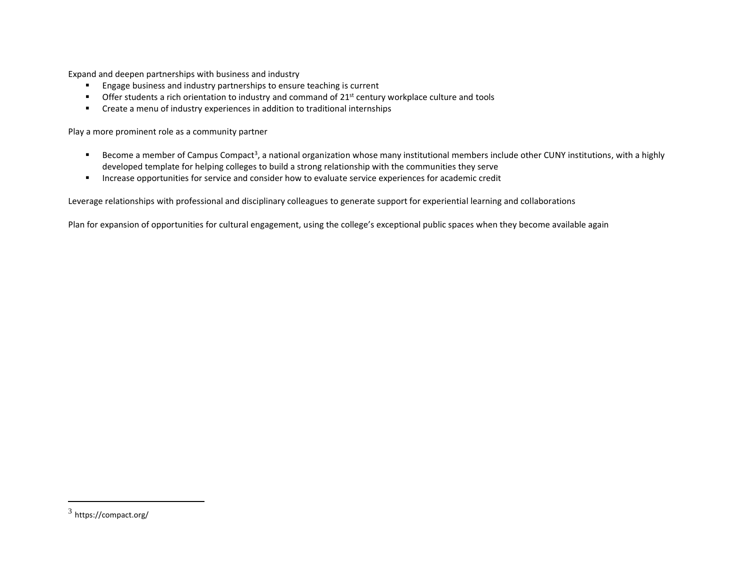Expand and deepen partnerships with business and industry

- Engage business and industry partnerships to ensure teaching is current
- Offer students a rich orientation to industry and command of 21<sup>st</sup> century workplace culture and tools
- Create a menu of industry experiences in addition to traditional internships

Play a more prominent role as a community partner

- Become a member of Campus Compact<sup>3</sup>, a national organization whose many institutional members include other CUNY institutions, with a highly developed template for helping colleges to build a strong relationship with the communities they serve
- **■** Increase opportunities for service and consider how to evaluate service experiences for academic credit

Leverage relationships with professional and disciplinary colleagues to generate support for experiential learning and collaborations

Plan for expansion of opportunities for cultural engagement, using the college's exceptional public spaces when they become available again

 $^3$  https://compact.org/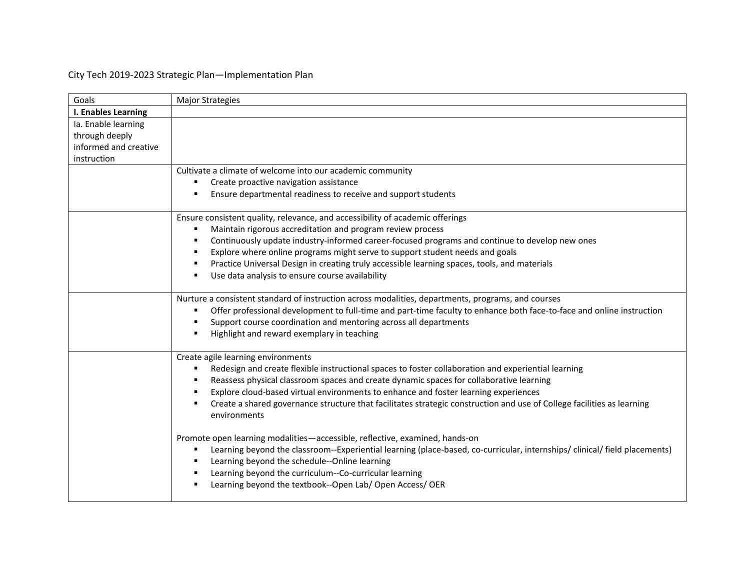## City Tech 2019-2023 Strategic Plan—Implementation Plan

| Goals                                                          | <b>Major Strategies</b>                                                                                                                                                                                                          |
|----------------------------------------------------------------|----------------------------------------------------------------------------------------------------------------------------------------------------------------------------------------------------------------------------------|
| I. Enables Learning                                            |                                                                                                                                                                                                                                  |
| Ia. Enable learning<br>through deeply<br>informed and creative |                                                                                                                                                                                                                                  |
| instruction                                                    |                                                                                                                                                                                                                                  |
|                                                                | Cultivate a climate of welcome into our academic community                                                                                                                                                                       |
|                                                                | Create proactive navigation assistance<br>٠                                                                                                                                                                                      |
|                                                                | Ensure departmental readiness to receive and support students                                                                                                                                                                    |
|                                                                | Ensure consistent quality, relevance, and accessibility of academic offerings                                                                                                                                                    |
|                                                                | Maintain rigorous accreditation and program review process                                                                                                                                                                       |
|                                                                | Continuously update industry-informed career-focused programs and continue to develop new ones                                                                                                                                   |
|                                                                | Explore where online programs might serve to support student needs and goals<br>п                                                                                                                                                |
|                                                                | Practice Universal Design in creating truly accessible learning spaces, tools, and materials<br>٠                                                                                                                                |
|                                                                | Use data analysis to ensure course availability<br>٠                                                                                                                                                                             |
|                                                                | Nurture a consistent standard of instruction across modalities, departments, programs, and courses<br>Offer professional development to full-time and part-time faculty to enhance both face-to-face and online instruction<br>٠ |
|                                                                | Support course coordination and mentoring across all departments<br>Highlight and reward exemplary in teaching                                                                                                                   |
|                                                                |                                                                                                                                                                                                                                  |
|                                                                | Create agile learning environments                                                                                                                                                                                               |
|                                                                | Redesign and create flexible instructional spaces to foster collaboration and experiential learning<br>٠                                                                                                                         |
|                                                                | Reassess physical classroom spaces and create dynamic spaces for collaborative learning<br>٠                                                                                                                                     |
|                                                                | Explore cloud-based virtual environments to enhance and foster learning experiences                                                                                                                                              |
|                                                                | Create a shared governance structure that facilitates strategic construction and use of College facilities as learning<br>environments                                                                                           |
|                                                                | Promote open learning modalities-accessible, reflective, examined, hands-on                                                                                                                                                      |
|                                                                | Learning beyond the classroom--Experiential learning (place-based, co-curricular, internships/clinical/field placements)<br>٠<br>Learning beyond the schedule--Online learning                                                   |
|                                                                | Learning beyond the curriculum--Co-curricular learning                                                                                                                                                                           |
|                                                                | Learning beyond the textbook--Open Lab/ Open Access/ OER                                                                                                                                                                         |
|                                                                |                                                                                                                                                                                                                                  |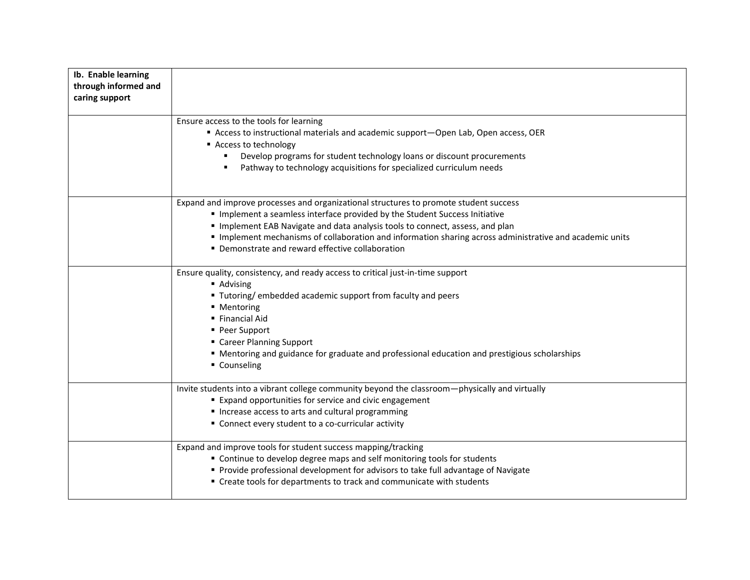| Ib. Enable learning<br>through informed and<br>caring support |                                                                                                                                                                                                                                                                                                                                                                                                                 |
|---------------------------------------------------------------|-----------------------------------------------------------------------------------------------------------------------------------------------------------------------------------------------------------------------------------------------------------------------------------------------------------------------------------------------------------------------------------------------------------------|
|                                                               | Ensure access to the tools for learning<br>Access to instructional materials and academic support-Open Lab, Open access, OER<br>Access to technology<br>Develop programs for student technology loans or discount procurements<br>Pathway to technology acquisitions for specialized curriculum needs                                                                                                           |
|                                                               | Expand and improve processes and organizational structures to promote student success<br>Implement a seamless interface provided by the Student Success Initiative<br>Implement EAB Navigate and data analysis tools to connect, assess, and plan<br>Implement mechanisms of collaboration and information sharing across administrative and academic units<br>• Demonstrate and reward effective collaboration |
|                                                               | Ensure quality, consistency, and ready access to critical just-in-time support<br>Advising<br>■ Tutoring/ embedded academic support from faculty and peers<br>■ Mentoring<br>■ Financial Aid<br>■ Peer Support<br>• Career Planning Support<br>" Mentoring and guidance for graduate and professional education and prestigious scholarships<br>• Counseling                                                    |
|                                                               | Invite students into a vibrant college community beyond the classroom-physically and virtually<br><b>Expand opportunities for service and civic engagement</b><br>Increase access to arts and cultural programming<br>" Connect every student to a co-curricular activity                                                                                                                                       |
|                                                               | Expand and improve tools for student success mapping/tracking<br>" Continue to develop degree maps and self monitoring tools for students<br>Provide professional development for advisors to take full advantage of Navigate<br>" Create tools for departments to track and communicate with students                                                                                                          |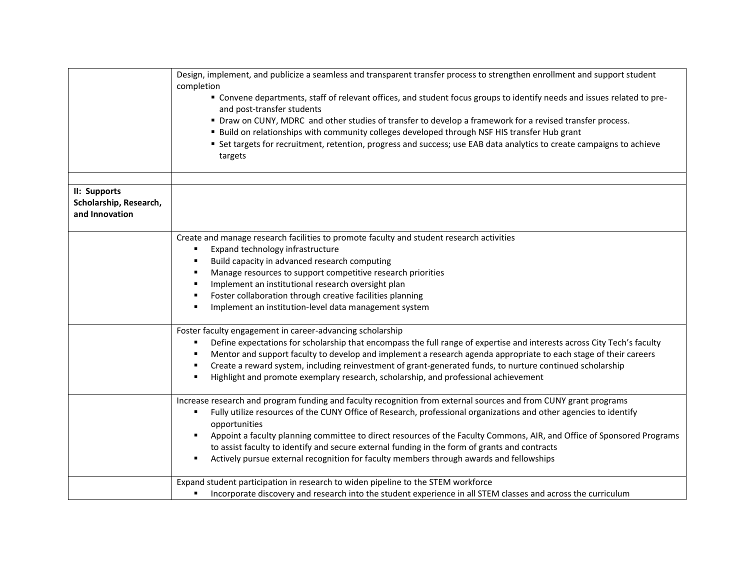|                        | Design, implement, and publicize a seamless and transparent transfer process to strengthen enrollment and support student<br>completion<br>" Convene departments, staff of relevant offices, and student focus groups to identify needs and issues related to pre-<br>and post-transfer students<br>" Draw on CUNY, MDRC and other studies of transfer to develop a framework for a revised transfer process.<br>" Build on relationships with community colleges developed through NSF HIS transfer Hub grant<br>" Set targets for recruitment, retention, progress and success; use EAB data analytics to create campaigns to achieve<br>targets |
|------------------------|----------------------------------------------------------------------------------------------------------------------------------------------------------------------------------------------------------------------------------------------------------------------------------------------------------------------------------------------------------------------------------------------------------------------------------------------------------------------------------------------------------------------------------------------------------------------------------------------------------------------------------------------------|
| II: Supports           |                                                                                                                                                                                                                                                                                                                                                                                                                                                                                                                                                                                                                                                    |
| Scholarship, Research, |                                                                                                                                                                                                                                                                                                                                                                                                                                                                                                                                                                                                                                                    |
| and Innovation         |                                                                                                                                                                                                                                                                                                                                                                                                                                                                                                                                                                                                                                                    |
|                        |                                                                                                                                                                                                                                                                                                                                                                                                                                                                                                                                                                                                                                                    |
|                        | Create and manage research facilities to promote faculty and student research activities                                                                                                                                                                                                                                                                                                                                                                                                                                                                                                                                                           |
|                        | Expand technology infrastructure<br>٠                                                                                                                                                                                                                                                                                                                                                                                                                                                                                                                                                                                                              |
|                        | Build capacity in advanced research computing<br>٠                                                                                                                                                                                                                                                                                                                                                                                                                                                                                                                                                                                                 |
|                        | Manage resources to support competitive research priorities<br>٠                                                                                                                                                                                                                                                                                                                                                                                                                                                                                                                                                                                   |
|                        | Implement an institutional research oversight plan<br>٠                                                                                                                                                                                                                                                                                                                                                                                                                                                                                                                                                                                            |
|                        | Foster collaboration through creative facilities planning<br>٠                                                                                                                                                                                                                                                                                                                                                                                                                                                                                                                                                                                     |
|                        | Implement an institution-level data management system<br>٠                                                                                                                                                                                                                                                                                                                                                                                                                                                                                                                                                                                         |
|                        | Foster faculty engagement in career-advancing scholarship                                                                                                                                                                                                                                                                                                                                                                                                                                                                                                                                                                                          |
|                        | Define expectations for scholarship that encompass the full range of expertise and interests across City Tech's faculty<br>٠                                                                                                                                                                                                                                                                                                                                                                                                                                                                                                                       |
|                        | Mentor and support faculty to develop and implement a research agenda appropriate to each stage of their careers<br>٠                                                                                                                                                                                                                                                                                                                                                                                                                                                                                                                              |
|                        | Create a reward system, including reinvestment of grant-generated funds, to nurture continued scholarship<br>٠                                                                                                                                                                                                                                                                                                                                                                                                                                                                                                                                     |
|                        | Highlight and promote exemplary research, scholarship, and professional achievement<br>٠                                                                                                                                                                                                                                                                                                                                                                                                                                                                                                                                                           |
|                        | Increase research and program funding and faculty recognition from external sources and from CUNY grant programs                                                                                                                                                                                                                                                                                                                                                                                                                                                                                                                                   |
|                        | Fully utilize resources of the CUNY Office of Research, professional organizations and other agencies to identify<br>٠                                                                                                                                                                                                                                                                                                                                                                                                                                                                                                                             |
|                        | opportunities                                                                                                                                                                                                                                                                                                                                                                                                                                                                                                                                                                                                                                      |
|                        | Appoint a faculty planning committee to direct resources of the Faculty Commons, AIR, and Office of Sponsored Programs<br>$\blacksquare$                                                                                                                                                                                                                                                                                                                                                                                                                                                                                                           |
|                        | to assist faculty to identify and secure external funding in the form of grants and contracts                                                                                                                                                                                                                                                                                                                                                                                                                                                                                                                                                      |
|                        | Actively pursue external recognition for faculty members through awards and fellowships                                                                                                                                                                                                                                                                                                                                                                                                                                                                                                                                                            |
|                        | Expand student participation in research to widen pipeline to the STEM workforce                                                                                                                                                                                                                                                                                                                                                                                                                                                                                                                                                                   |
|                        | Incorporate discovery and research into the student experience in all STEM classes and across the curriculum<br>٠                                                                                                                                                                                                                                                                                                                                                                                                                                                                                                                                  |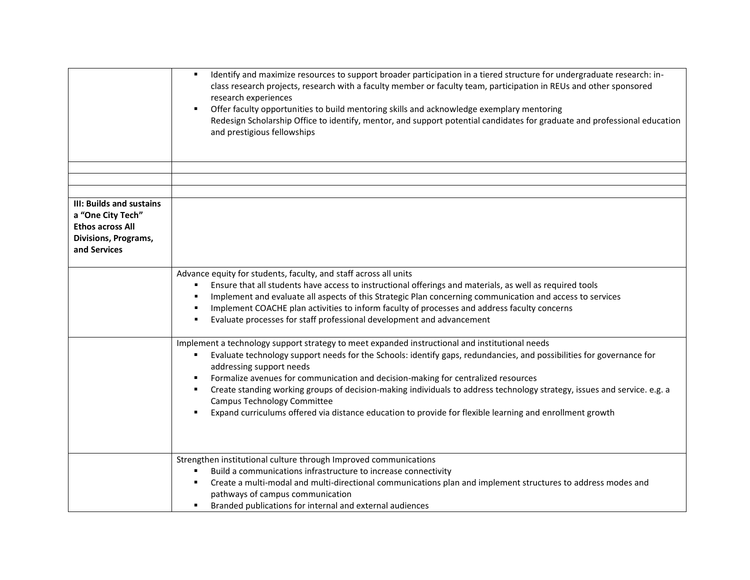|                                                      | Identify and maximize resources to support broader participation in a tiered structure for undergraduate research: in-<br>٠<br>class research projects, research with a faculty member or faculty team, participation in REUs and other sponsored<br>research experiences                                                                                                                                                                                                                      |
|------------------------------------------------------|------------------------------------------------------------------------------------------------------------------------------------------------------------------------------------------------------------------------------------------------------------------------------------------------------------------------------------------------------------------------------------------------------------------------------------------------------------------------------------------------|
|                                                      | Offer faculty opportunities to build mentoring skills and acknowledge exemplary mentoring<br>٠<br>Redesign Scholarship Office to identify, mentor, and support potential candidates for graduate and professional education<br>and prestigious fellowships                                                                                                                                                                                                                                     |
|                                                      |                                                                                                                                                                                                                                                                                                                                                                                                                                                                                                |
|                                                      |                                                                                                                                                                                                                                                                                                                                                                                                                                                                                                |
|                                                      |                                                                                                                                                                                                                                                                                                                                                                                                                                                                                                |
| <b>III: Builds and sustains</b><br>a "One City Tech" |                                                                                                                                                                                                                                                                                                                                                                                                                                                                                                |
| <b>Ethos across All</b>                              |                                                                                                                                                                                                                                                                                                                                                                                                                                                                                                |
| Divisions, Programs,                                 |                                                                                                                                                                                                                                                                                                                                                                                                                                                                                                |
| and Services                                         |                                                                                                                                                                                                                                                                                                                                                                                                                                                                                                |
|                                                      |                                                                                                                                                                                                                                                                                                                                                                                                                                                                                                |
|                                                      | Advance equity for students, faculty, and staff across all units<br>Ensure that all students have access to instructional offerings and materials, as well as required tools<br>Implement and evaluate all aspects of this Strategic Plan concerning communication and access to services<br>$\blacksquare$<br>Implement COACHE plan activities to inform faculty of processes and address faculty concerns<br>٠<br>Evaluate processes for staff professional development and advancement<br>п |
|                                                      | Implement a technology support strategy to meet expanded instructional and institutional needs<br>Evaluate technology support needs for the Schools: identify gaps, redundancies, and possibilities for governance for<br>٠<br>addressing support needs                                                                                                                                                                                                                                        |
|                                                      | Formalize avenues for communication and decision-making for centralized resources                                                                                                                                                                                                                                                                                                                                                                                                              |
|                                                      | Create standing working groups of decision-making individuals to address technology strategy, issues and service. e.g. a<br>٠<br>Campus Technology Committee                                                                                                                                                                                                                                                                                                                                   |
|                                                      | Expand curriculums offered via distance education to provide for flexible learning and enrollment growth<br>$\blacksquare$                                                                                                                                                                                                                                                                                                                                                                     |
|                                                      |                                                                                                                                                                                                                                                                                                                                                                                                                                                                                                |
|                                                      | Strengthen institutional culture through Improved communications                                                                                                                                                                                                                                                                                                                                                                                                                               |
|                                                      | Build a communications infrastructure to increase connectivity                                                                                                                                                                                                                                                                                                                                                                                                                                 |
|                                                      | Create a multi-modal and multi-directional communications plan and implement structures to address modes and<br>٠<br>pathways of campus communication                                                                                                                                                                                                                                                                                                                                          |
|                                                      | Branded publications for internal and external audiences                                                                                                                                                                                                                                                                                                                                                                                                                                       |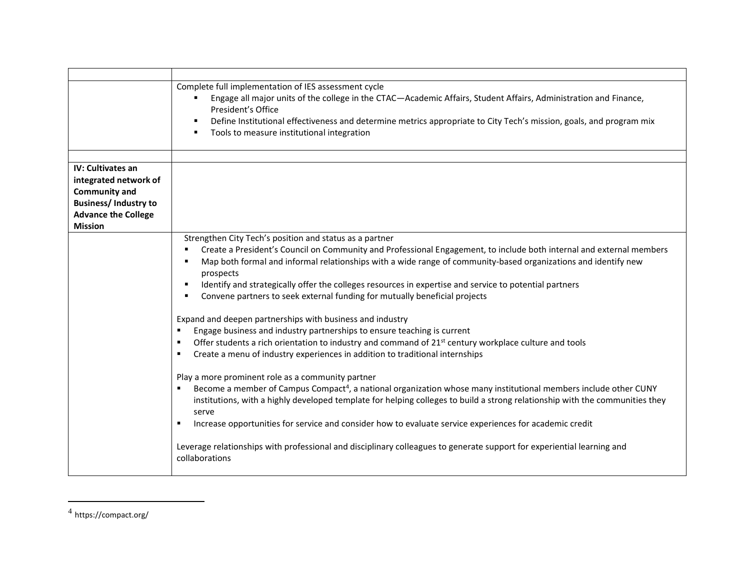|                                                           | Complete full implementation of IES assessment cycle<br>Engage all major units of the college in the CTAC-Academic Affairs, Student Affairs, Administration and Finance,<br>President's Office<br>Define Institutional effectiveness and determine metrics appropriate to City Tech's mission, goals, and program mix<br>٠<br>Tools to measure institutional integration<br>٠                                                                                      |
|-----------------------------------------------------------|--------------------------------------------------------------------------------------------------------------------------------------------------------------------------------------------------------------------------------------------------------------------------------------------------------------------------------------------------------------------------------------------------------------------------------------------------------------------|
|                                                           |                                                                                                                                                                                                                                                                                                                                                                                                                                                                    |
| IV: Cultivates an<br>integrated network of                |                                                                                                                                                                                                                                                                                                                                                                                                                                                                    |
| <b>Community and</b>                                      |                                                                                                                                                                                                                                                                                                                                                                                                                                                                    |
| <b>Business/Industry to</b><br><b>Advance the College</b> |                                                                                                                                                                                                                                                                                                                                                                                                                                                                    |
| <b>Mission</b>                                            |                                                                                                                                                                                                                                                                                                                                                                                                                                                                    |
|                                                           | Strengthen City Tech's position and status as a partner                                                                                                                                                                                                                                                                                                                                                                                                            |
|                                                           | Create a President's Council on Community and Professional Engagement, to include both internal and external members<br>Map both formal and informal relationships with a wide range of community-based organizations and identify new<br>prospects<br>Identify and strategically offer the colleges resources in expertise and service to potential partners<br>$\blacksquare$<br>Convene partners to seek external funding for mutually beneficial projects<br>٠ |
|                                                           |                                                                                                                                                                                                                                                                                                                                                                                                                                                                    |
|                                                           | Expand and deepen partnerships with business and industry                                                                                                                                                                                                                                                                                                                                                                                                          |
|                                                           | Engage business and industry partnerships to ensure teaching is current<br>٠                                                                                                                                                                                                                                                                                                                                                                                       |
|                                                           | Offer students a rich orientation to industry and command of 21 <sup>st</sup> century workplace culture and tools<br>٠<br>Create a menu of industry experiences in addition to traditional internships<br>٠                                                                                                                                                                                                                                                        |
|                                                           | Play a more prominent role as a community partner                                                                                                                                                                                                                                                                                                                                                                                                                  |
|                                                           | Become a member of Campus Compact <sup>4</sup> , a national organization whose many institutional members include other CUNY<br>institutions, with a highly developed template for helping colleges to build a strong relationship with the communities they<br>serve                                                                                                                                                                                              |
|                                                           | Increase opportunities for service and consider how to evaluate service experiences for academic credit<br>٠                                                                                                                                                                                                                                                                                                                                                       |
|                                                           | Leverage relationships with professional and disciplinary colleagues to generate support for experiential learning and<br>collaborations                                                                                                                                                                                                                                                                                                                           |

 $^4$  https://compact.org/